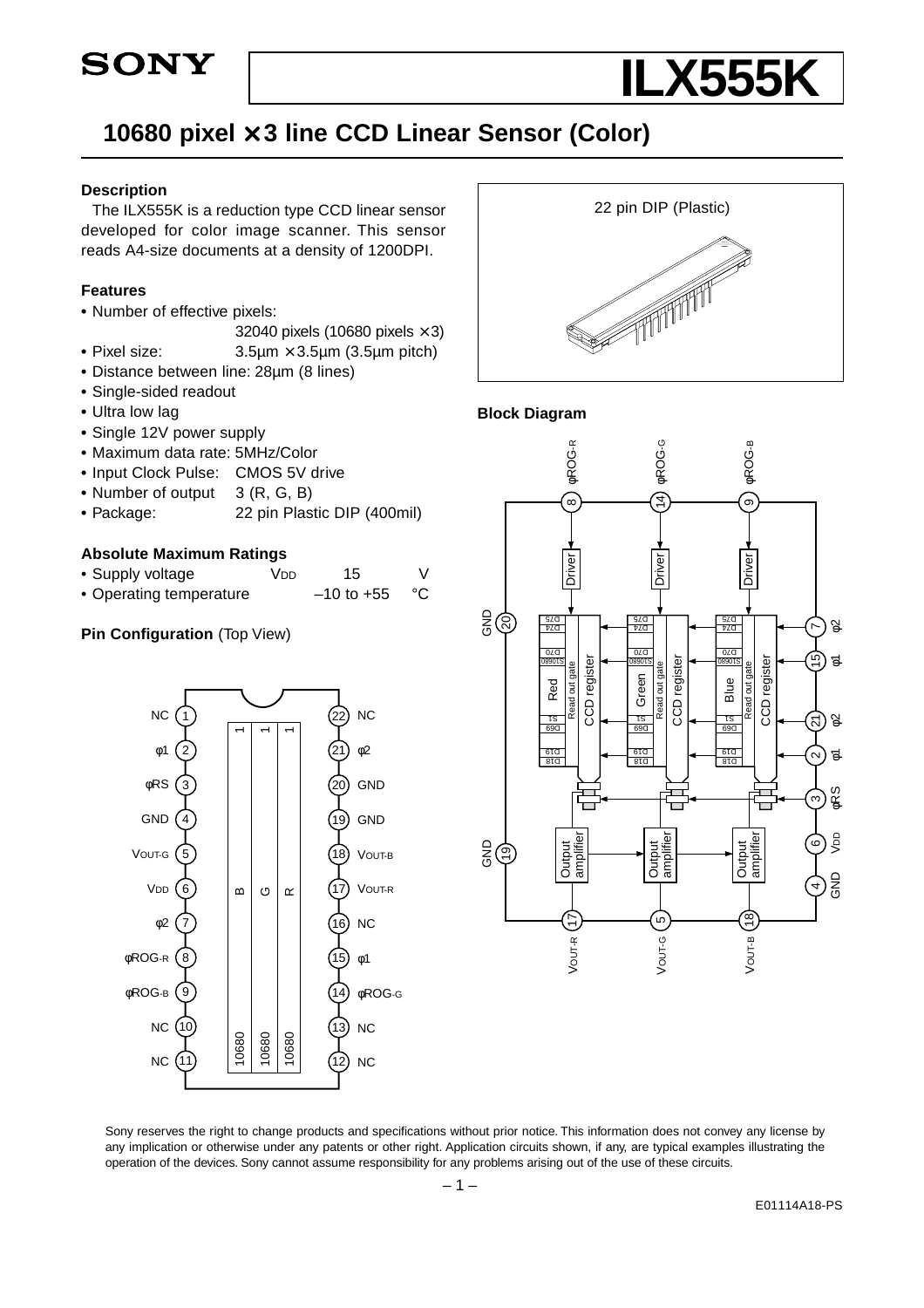



# **10680 pixel** × **3 line CCD Linear Sensor (Color)**

#### **Description**

The ILX555K is a reduction type CCD linear sensor developed for color image scanner. This sensor reads A4-size documents at a density of 1200DPI.

#### **Features**

- **•** Number of effective pixels:
	- 32040 pixels (10680 pixels  $\times$  3)
- **•** Pixel size: 3.5µm × 3.5µm (3.5µm pitch)
- **•** Distance between line: 28µm (8 lines)
- **•** Single-sided readout
- **•** Ultra low lag
- **•** Single 12V power supply
- **•** Maximum data rate: 5MHz/Color
- **•** Input Clock Pulse: CMOS 5V drive
- Number of output 3 (R, G, B)
- **•** Package: 22 pin Plastic DIP (400mil)

#### **Absolute Maximum Ratings**

| • Supply voltage | V <sub>DD</sub> | 15 |  |
|------------------|-----------------|----|--|
|                  |                 |    |  |

• Operating temperature –10 to +55 °C

#### **Pin Configuration** (Top View)





#### **Block Diagram**



Sony reserves the right to change products and specifications without prior notice. This information does not convey any license by any implication or otherwise under any patents or other right. Application circuits shown, if any, are typical examples illustrating the operation of the devices. Sony cannot assume responsibility for any problems arising out of the use of these circuits.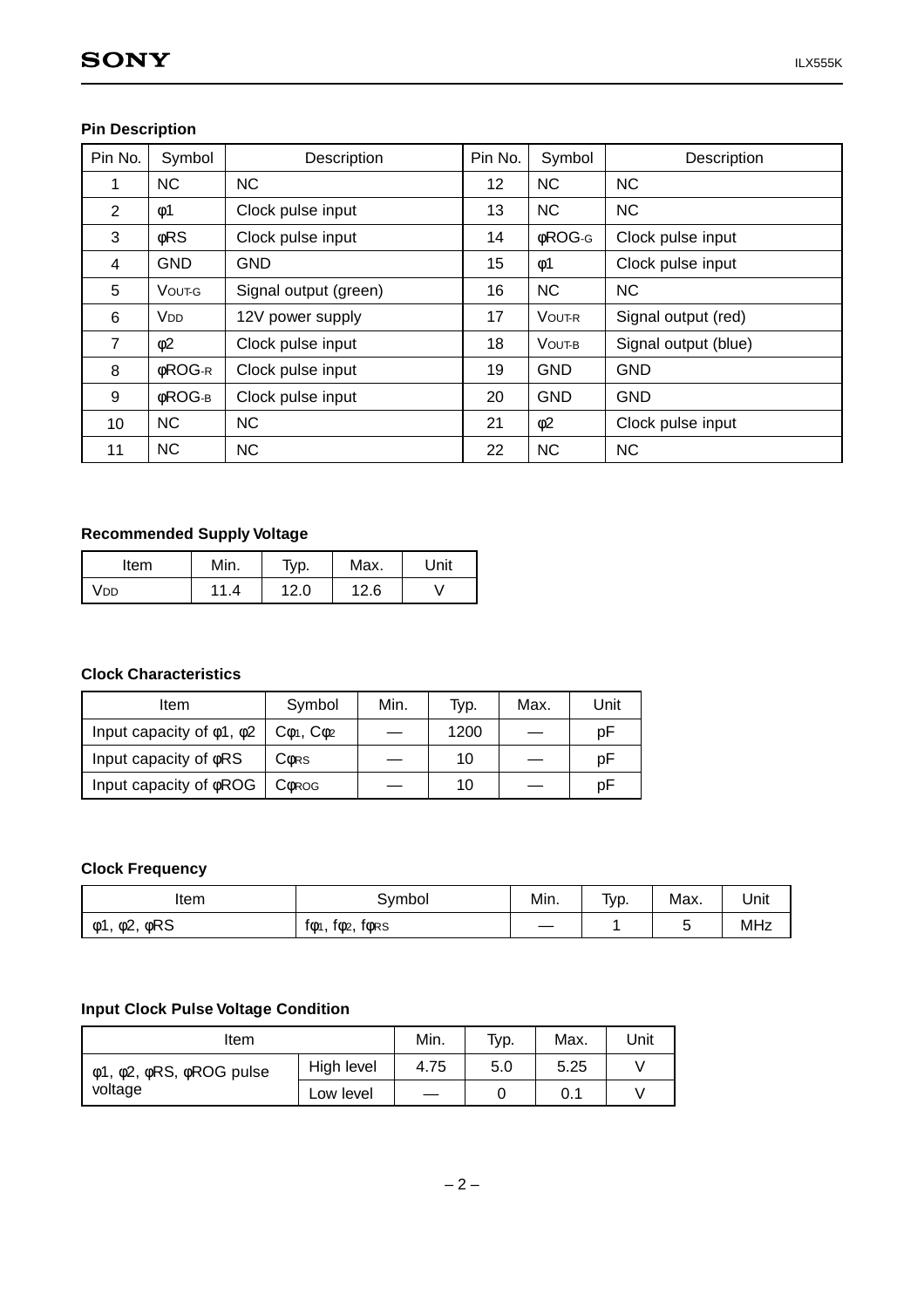## **Pin Description**

| Pin No.         | Symbol                | Description           | Pin No.         | Symbol        | Description          |
|-----------------|-----------------------|-----------------------|-----------------|---------------|----------------------|
| 1               | <b>NC</b>             | <b>NC</b>             | 12              | <b>NC</b>     | <b>NC</b>            |
| 2               | $\phi$ 1              | Clock pulse input     | 13              | <b>NC</b>     | <b>NC</b>            |
| 3               | $\phi$ RS             | Clock pulse input     | 14              | <b>¢ROG-G</b> | Clock pulse input    |
| 4               | <b>GND</b>            | <b>GND</b>            | 15 <sub>2</sub> | $\phi$ 1      | Clock pulse input    |
| 5               | VOUT-G                | Signal output (green) | 16              | <b>NC</b>     | <b>NC</b>            |
| 6               | <b>V<sub>DD</sub></b> | 12V power supply      | 17              | <b>VOUT-R</b> | Signal output (red)  |
| $\overline{7}$  | $\phi$ 2              | Clock pulse input     | 18              | VOUT-B        | Signal output (blue) |
| 8               | <b>¢ROG-R</b>         | Clock pulse input     | 19              | <b>GND</b>    | <b>GND</b>           |
| 9               | <b>¢ROG-в</b>         | Clock pulse input     | 20              | <b>GND</b>    | <b>GND</b>           |
| 10 <sup>1</sup> | <b>NC</b>             | <b>NC</b>             | 21              | $\phi$ 2      | Clock pulse input    |
| 11              | <b>NC</b>             | <b>NC</b>             | 22              | <b>NC</b>     | <b>NC</b>            |

## **Recommended Supply Voltage**

| Item | Min. | Typ. | Max. | Unit |
|------|------|------|------|------|
| /dd  | 44   | 12.0 | 12.6 |      |

# **Clock Characteristics**

| Item                                 | Symbol                      | Min. | Typ. | Max. | Unit |
|--------------------------------------|-----------------------------|------|------|------|------|
| Input capacity of $\phi$ 1, $\phi$ 2 | $C_{\Phi 1}$ , $C_{\Phi 2}$ |      | 1200 |      | рF   |
| Input capacity of $\phi$ RS          | <b>CORS</b>                 |      | 10   |      | рF   |
| Input capacity of $\phi$ ROG         | <b>COROG</b>                |      | 10   |      | pF   |

#### **Clock Frequency**

| Item              | Symbol                    | Min.                     | Typ. | Max. | Unit |
|-------------------|---------------------------|--------------------------|------|------|------|
| φRS<br>φ1,<br>φ2, | $f\phi_1$<br>fors<br>fф2, | $\overline{\phantom{a}}$ |      | ັ    | MHz  |

#### **Input Clock Pulse Voltage Condition**

| Item                    |            | Min.                     | Typ. | Max. | Unit |
|-------------------------|------------|--------------------------|------|------|------|
| φ1, φ2, φRS, φROG pulse | High level | 4.75                     | 5.0  | 5.25 |      |
| voltage                 | Low level  | $\overline{\phantom{0}}$ |      | 0.1  |      |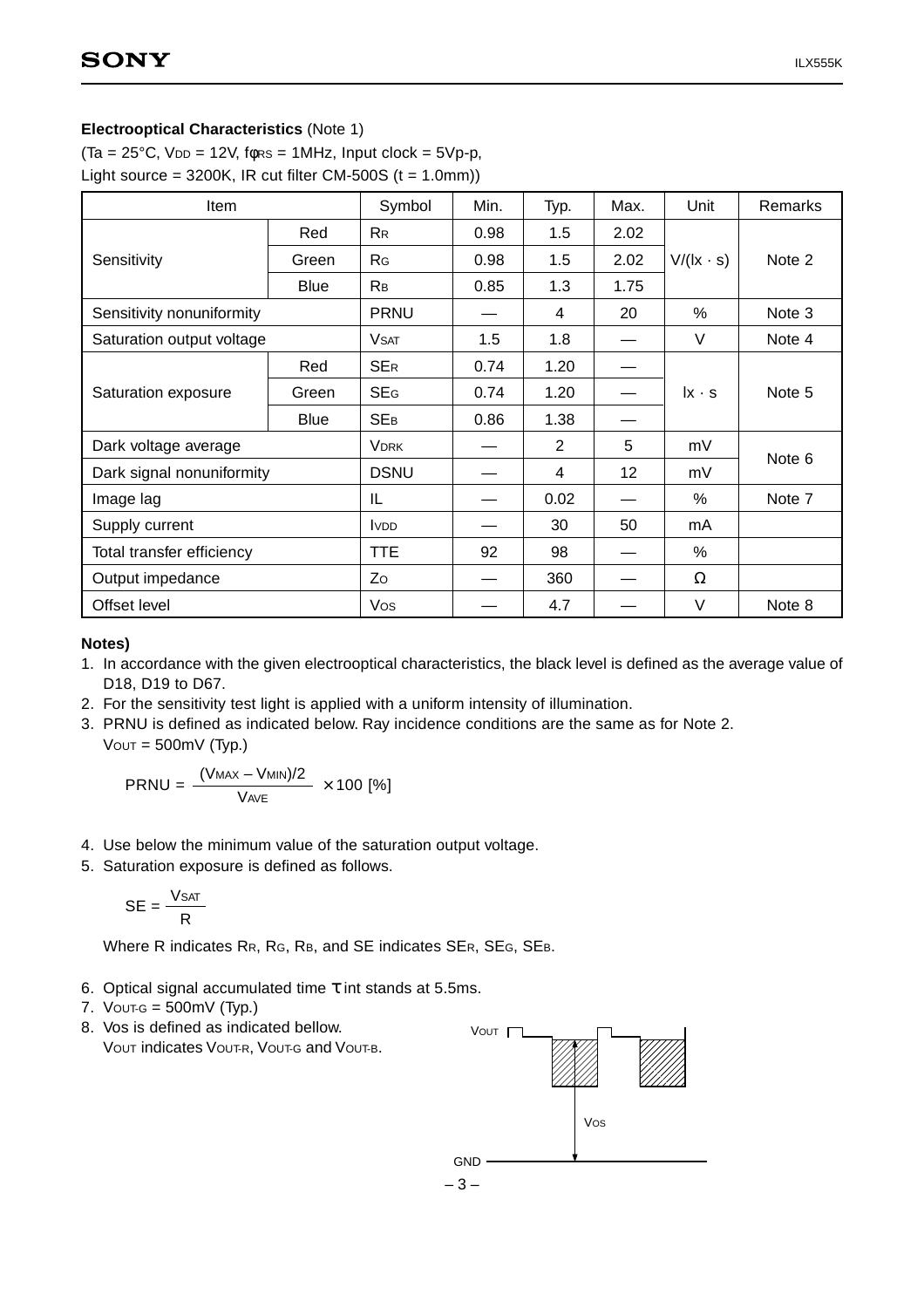#### **Electrooptical Characteristics** (Note 1)

(Ta =  $25^{\circ}$ C, VDD = 12V, fors = 1MHz, Input clock =  $5Vp-p$ ,

Light source =  $3200K$ , IR cut filter CM-500S (t = 1.0mm))

| <b>Item</b>               |             | Symbol         | Min. | Typ.           | Max. | Unit              | Remarks |
|---------------------------|-------------|----------------|------|----------------|------|-------------------|---------|
|                           | Red         | <b>RR</b>      | 0.98 | 1.5            | 2.02 |                   |         |
| Sensitivity               | Green       | R <sub>G</sub> | 0.98 | 1.5            | 2.02 | $V/(l x \cdot s)$ | Note 2  |
|                           | <b>Blue</b> | Rв             | 0.85 | 1.3            | 1.75 |                   |         |
| Sensitivity nonuniformity |             | <b>PRNU</b>    |      | 4              | 20   | %                 | Note 3  |
| Saturation output voltage |             | <b>V</b> SAT   | 1.5  | 1.8            |      | $\vee$            | Note 4  |
|                           | Red         | <b>SER</b>     | 0.74 | 1.20           |      |                   |         |
| Saturation exposure       | Green       | <b>SEG</b>     | 0.74 | 1.20           |      | $ x \cdot s$      | Note 5  |
|                           | <b>Blue</b> | <b>SEB</b>     | 0.86 | 1.38           |      |                   |         |
| Dark voltage average      |             | <b>VDRK</b>    |      | $\overline{2}$ | 5    | mV                |         |
| Dark signal nonuniformity |             | <b>DSNU</b>    |      | 4              | 12   | mV                | Note 6  |
| Image lag                 |             | IL             |      | 0.02           |      | %                 | Note 7  |
| Supply current            |             | <b>VDD</b>     |      | 30             | 50   | mA                |         |
| Total transfer efficiency |             | TTE            | 92   | 98             |      | %                 |         |
| Output impedance          |             | Zo             |      | 360            |      | Ω                 |         |
| Offset level              |             | Vos            |      | 4.7            |      | V                 | Note 8  |

#### **Notes)**

- 1. In accordance with the given electrooptical characteristics, the black level is defined as the average value of D18, D19 to D67.
- 2. For the sensitivity test light is applied with a uniform intensity of illumination.
- 3. PRNU is defined as indicated below. Ray incidence conditions are the same as for Note 2.  $V$ OUT = 500mV (Typ.)

$$
PRNU = \frac{(V_{MAX} - V_{MIN})/2}{V_{AVE}} \times 100 [%]
$$

- 4. Use below the minimum value of the saturation output voltage.
- 5. Saturation exposure is defined as follows.

$$
SE = \frac{V_{SAT}}{R}
$$

Where R indicates RR, RG, RB, and SE indicates SER, SEG, SEB.

- 6. Optical signal accumulated time τ int stands at 5.5ms.
- 7. VOUT-G =  $500$ mV (Typ.)
- 8. Vos is defined as indicated bellow. VOUT indicates VOUT-R, VOUT-G and VOUT-B.

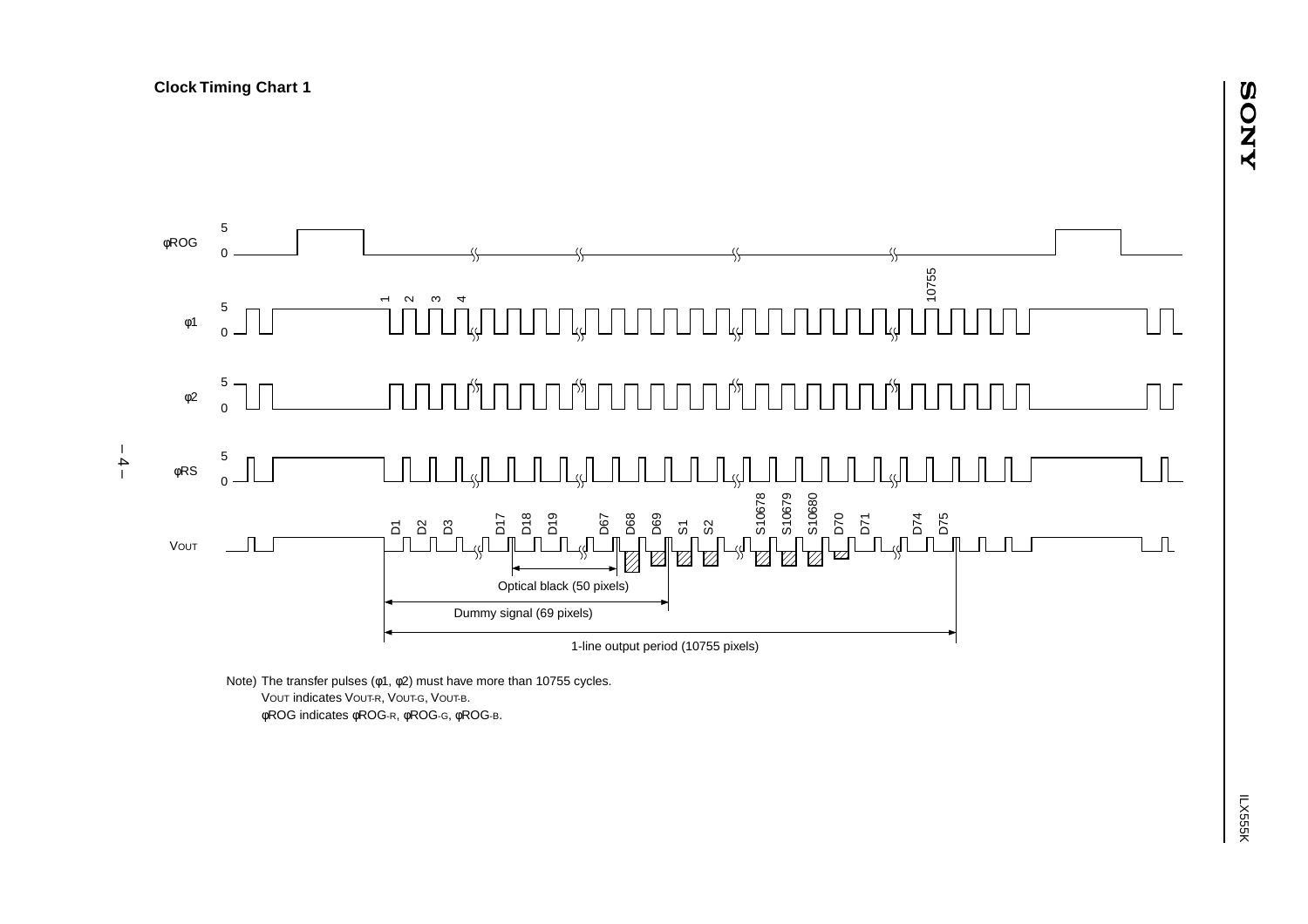

Note) The transfer pulses (φ1, φ2) must have more than 10755 cycles. VOUT indicates VOUT-R, VOUT-G, VOUT-B. φROG indicates φROG-R, φROG-G, φROG-B.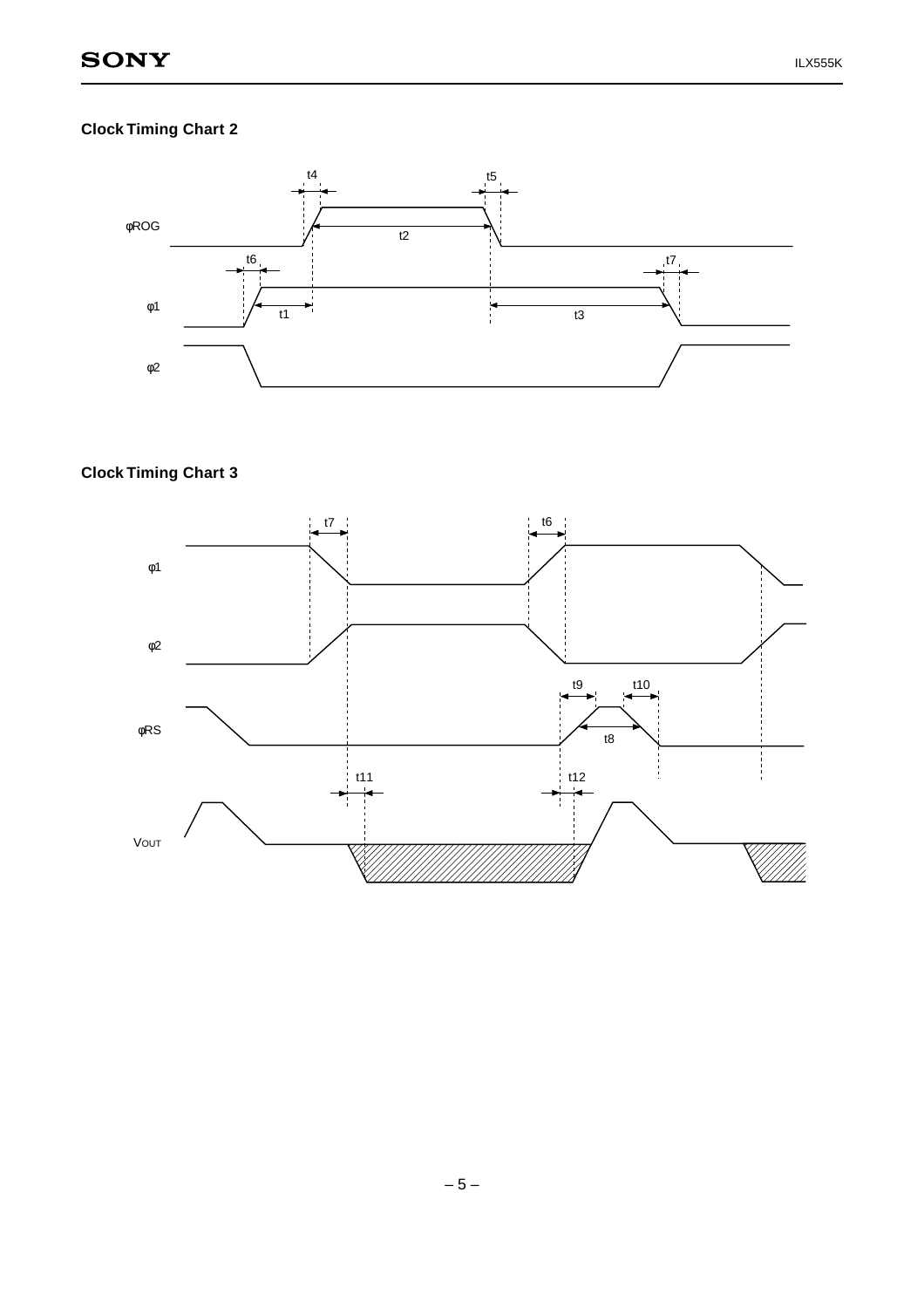# **Clock Timing Chart 2**



# **Clock Timing Chart 3**

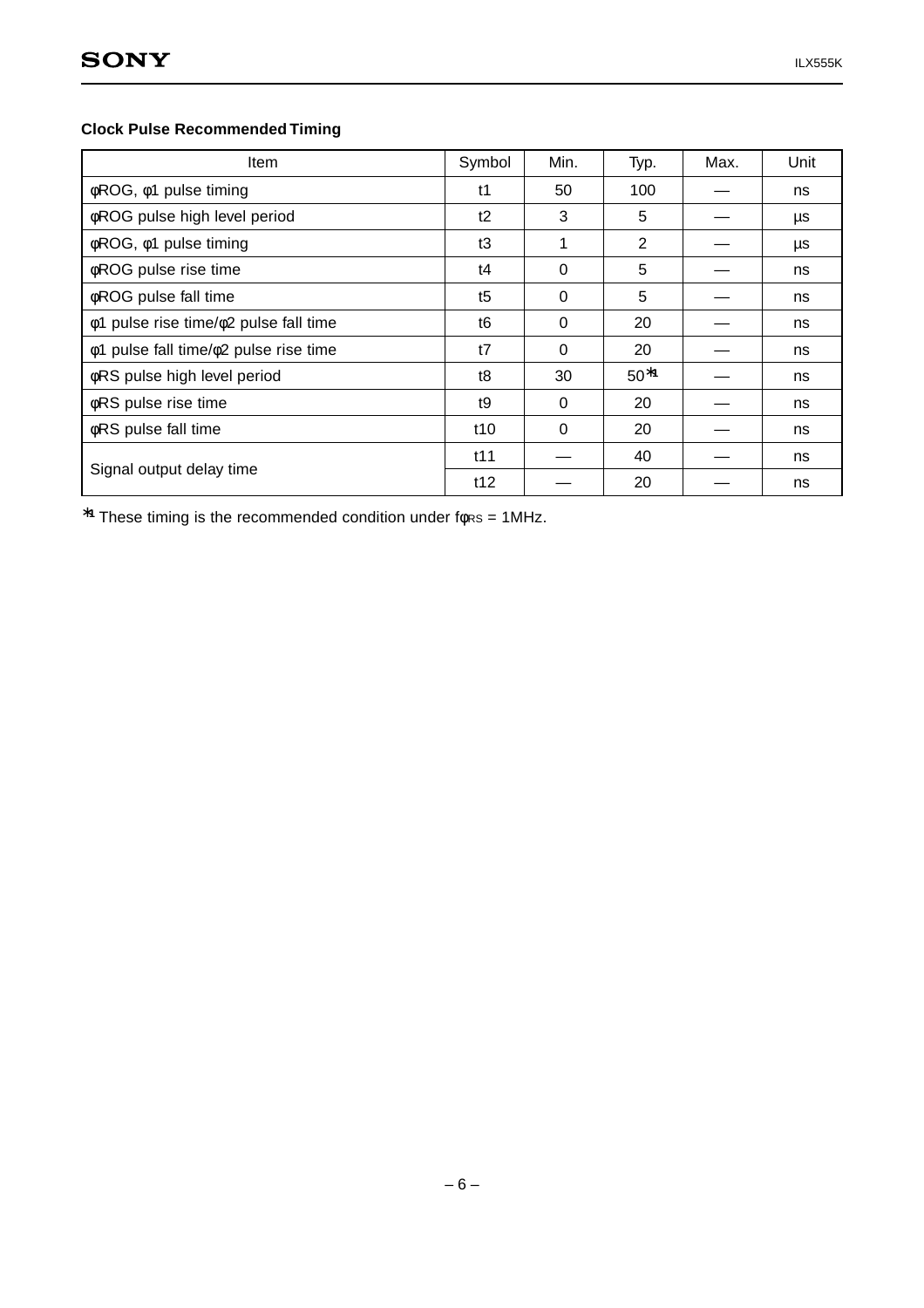# **Clock Pulse Recommended Timing**

| <b>Item</b>                           | Symbol         | Min.     | Typ.   | Max. | Unit |
|---------------------------------------|----------------|----------|--------|------|------|
| φROG, φ1 pulse timing                 | t1             | 50       | 100    |      | ns   |
| <b>¢ROG</b> pulse high level period   | t2             | 3        | 5      |      | μs   |
| φROG, φ1 pulse timing                 | t3             | 1        | 2      |      | μs   |
| φROG pulse rise time                  | t4             | 0        | 5      |      | ns   |
| <b>¢ROG</b> pulse fall time           | t5             | 0        | 5      |      | ns   |
| φ1 pulse rise time/φ2 pulse fall time | t <sub>6</sub> | 0        | 20     |      | ns   |
| φ1 pulse fall time/φ2 pulse rise time | t7             | 0        | 20     |      | ns   |
| <b>¢RS</b> pulse high level period    | t8             | 30       | $50*1$ |      | ns   |
| φRS pulse rise time                   | t <sub>9</sub> | $\Omega$ | 20     |      | ns   |
| φRS pulse fall time                   | t10            | $\Omega$ | 20     |      | ns   |
|                                       | t11            |          | 40     |      | ns   |
| Signal output delay time              | t12            |          | 20     |      | ns   |

∗**<sup>1</sup>** These timing is the recommended condition under fφRS = 1MHz.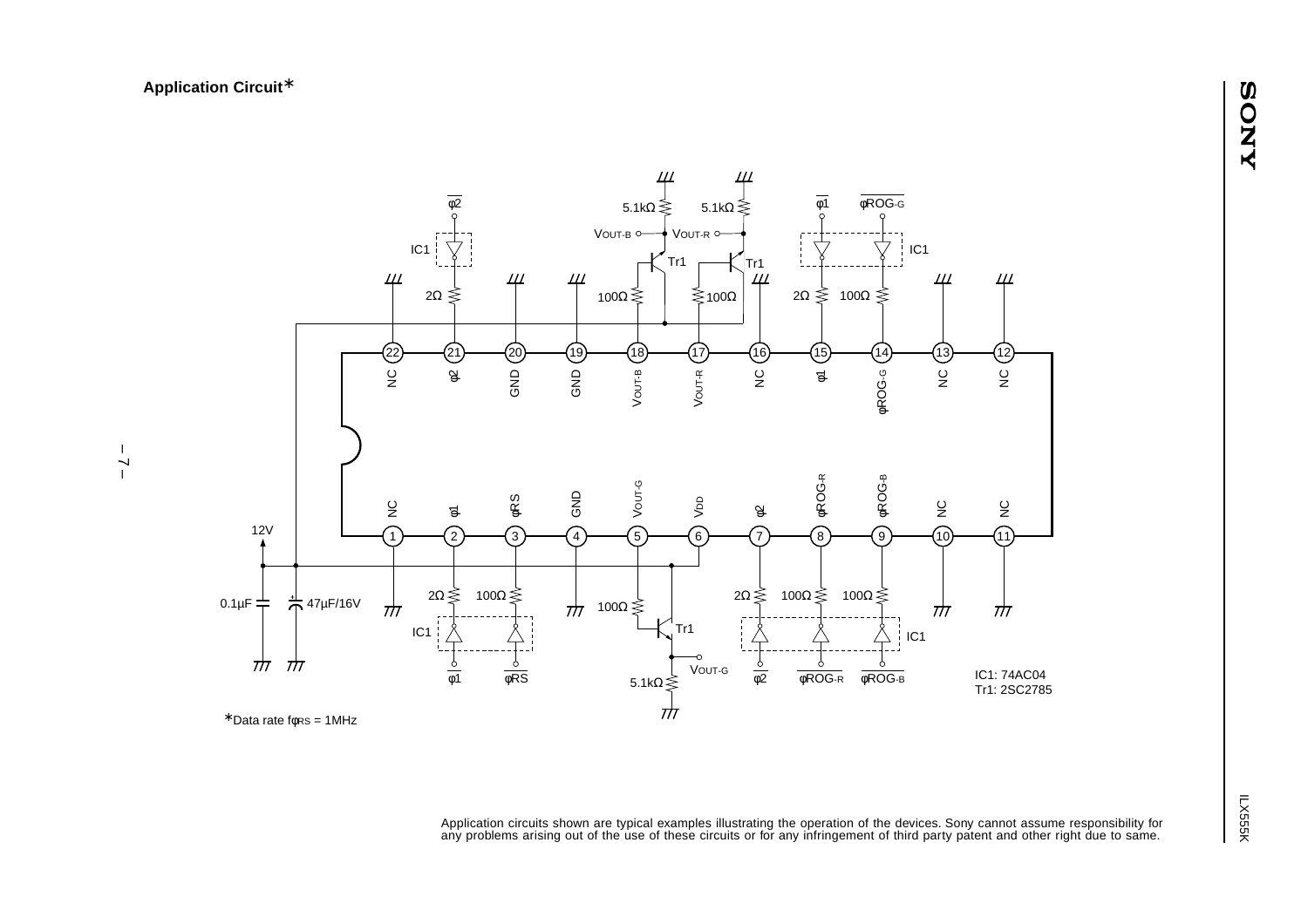

<sup>∗</sup> Data rate fφRS = 1MHz

Application circuits shown are typical examples illustrating the operation of the devices. Sony cannot assume responsibility for any problems arising out of the use of these circuits or for any infringement of third party patent and other right due to same.

–<br>– 2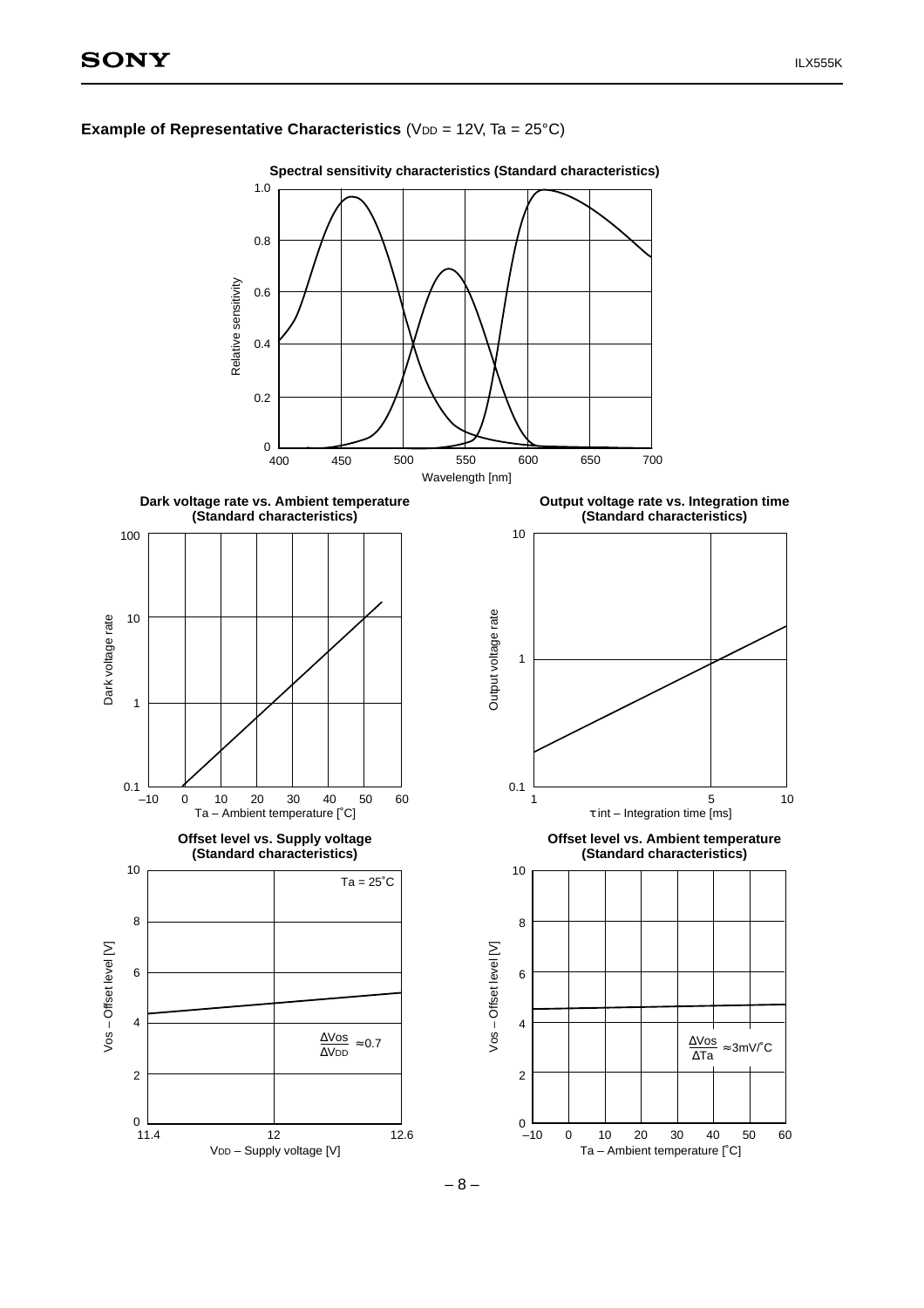



**Spectral sensitivity characteristics (Standard characteristics)**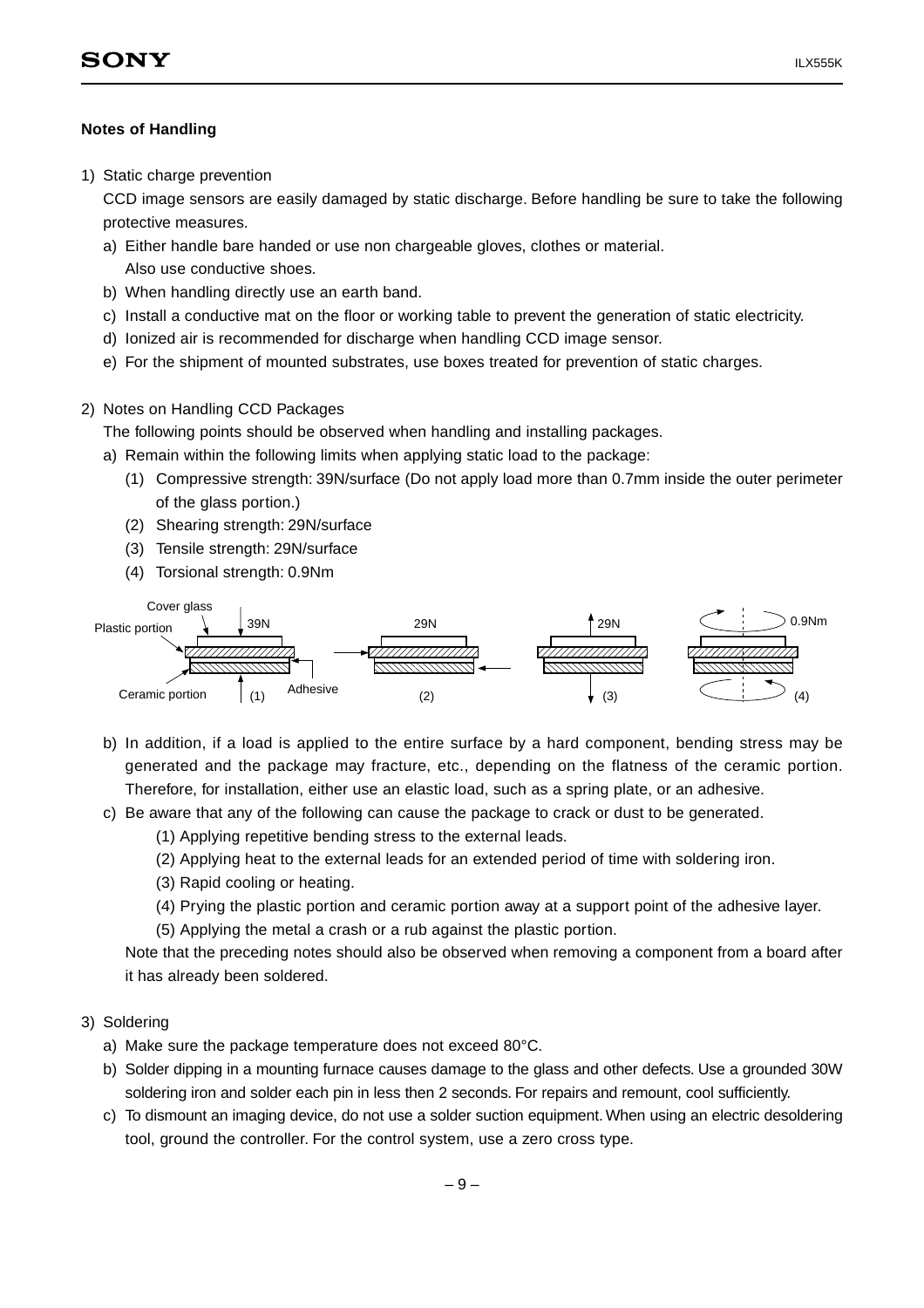## **Notes of Handling**

1) Static charge prevention

CCD image sensors are easily damaged by static discharge. Before handling be sure to take the following protective measures.

- a) Either handle bare handed or use non chargeable gloves, clothes or material. Also use conductive shoes.
- b) When handling directly use an earth band.
- c) Install a conductive mat on the floor or working table to prevent the generation of static electricity.
- d) Ionized air is recommended for discharge when handling CCD image sensor.
- e) For the shipment of mounted substrates, use boxes treated for prevention of static charges.
- 2) Notes on Handling CCD Packages

The following points should be observed when handling and installing packages.

- a) Remain within the following limits when applying static load to the package:
	- (1) Compressive strength: 39N/surface (Do not apply load more than 0.7mm inside the outer perimeter of the glass portion.)
	- (2) Shearing strength: 29N/surface
	- (3) Tensile strength: 29N/surface
	- (4) Torsional strength: 0.9Nm



- b) In addition, if a load is applied to the entire surface by a hard component, bending stress may be generated and the package may fracture, etc., depending on the flatness of the ceramic portion. Therefore, for installation, either use an elastic load, such as a spring plate, or an adhesive.
- c) Be aware that any of the following can cause the package to crack or dust to be generated.
	- (1) Applying repetitive bending stress to the external leads.
	- (2) Applying heat to the external leads for an extended period of time with soldering iron.
	- (3) Rapid cooling or heating.
	- (4) Prying the plastic portion and ceramic portion away at a support point of the adhesive layer.
	- (5) Applying the metal a crash or a rub against the plastic portion.

Note that the preceding notes should also be observed when removing a component from a board after it has already been soldered.

#### 3) Soldering

- a) Make sure the package temperature does not exceed 80°C.
- b) Solder dipping in a mounting furnace causes damage to the glass and other defects. Use a grounded 30W soldering iron and solder each pin in less then 2 seconds. For repairs and remount, cool sufficiently.
- c) To dismount an imaging device, do not use a solder suction equipment. When using an electric desoldering tool, ground the controller. For the control system, use a zero cross type.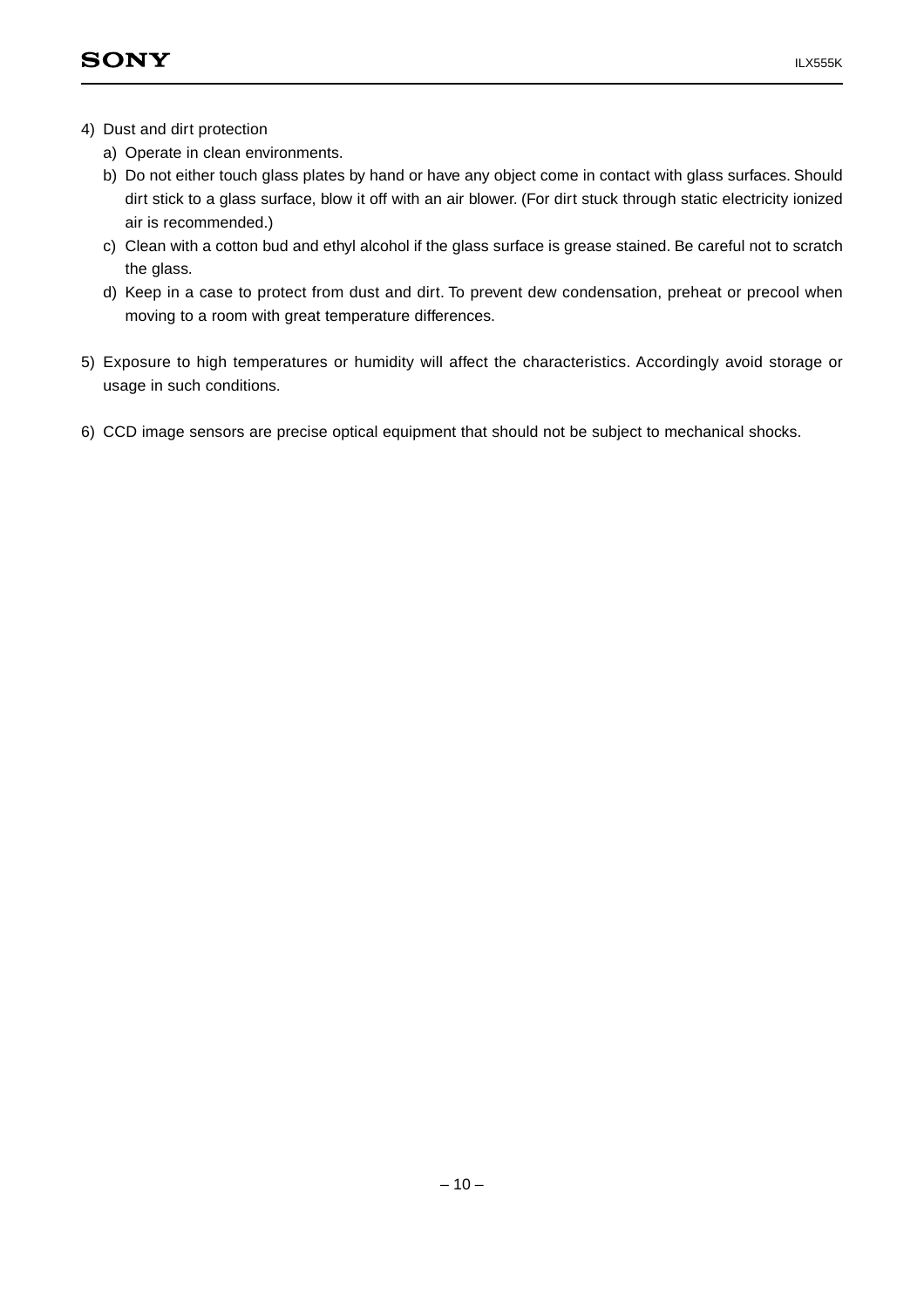- 4) Dust and dirt protection
	- a) Operate in clean environments.
	- b) Do not either touch glass plates by hand or have any object come in contact with glass surfaces. Should dirt stick to a glass surface, blow it off with an air blower. (For dirt stuck through static electricity ionized air is recommended.)
	- c) Clean with a cotton bud and ethyl alcohol if the glass surface is grease stained. Be careful not to scratch the glass.
	- d) Keep in a case to protect from dust and dirt. To prevent dew condensation, preheat or precool when moving to a room with great temperature differences.
- 5) Exposure to high temperatures or humidity will affect the characteristics. Accordingly avoid storage or usage in such conditions.
- 6) CCD image sensors are precise optical equipment that should not be subject to mechanical shocks.